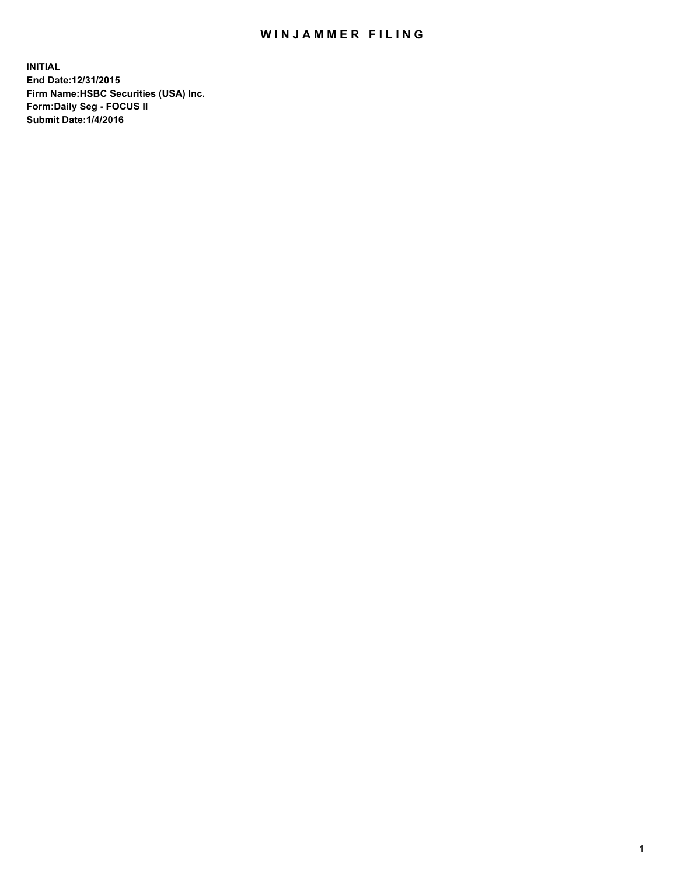## WIN JAMMER FILING

**INITIAL End Date:12/31/2015 Firm Name:HSBC Securities (USA) Inc. Form:Daily Seg - FOCUS II Submit Date:1/4/2016**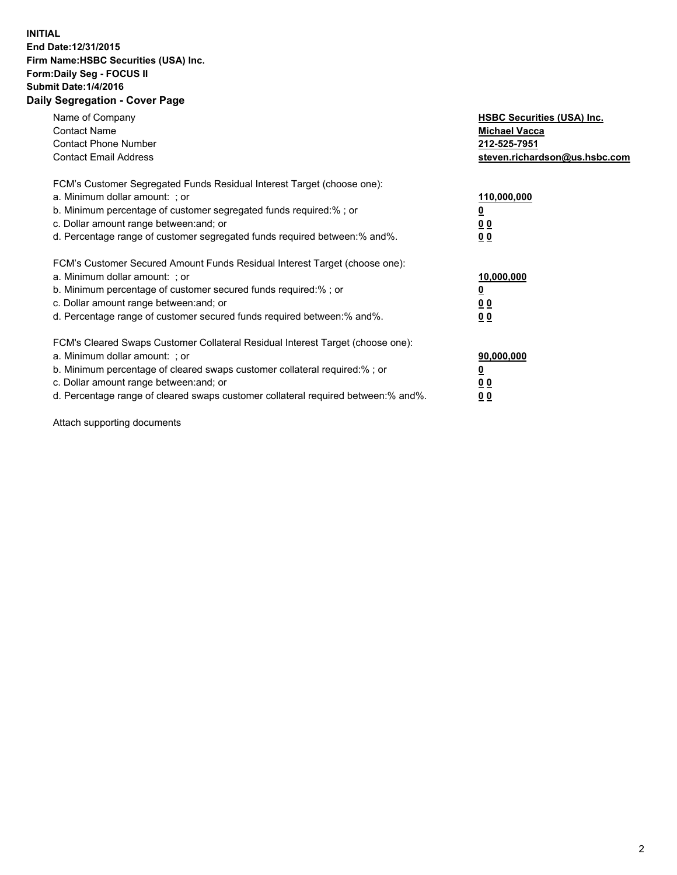## **INITIAL End Date:12/31/2015 Firm Name:HSBC Securities (USA) Inc. Form:Daily Seg - FOCUS II Submit Date:1/4/2016 Daily Segregation - Cover Page**

| Name of Company<br><b>Contact Name</b><br><b>Contact Phone Number</b><br><b>Contact Email Address</b>                                                                                                                                                                                                                            | <b>HSBC Securities (USA) Inc.</b><br><b>Michael Vacca</b><br>212-525-7951<br>steven.richardson@us.hsbc.com |
|----------------------------------------------------------------------------------------------------------------------------------------------------------------------------------------------------------------------------------------------------------------------------------------------------------------------------------|------------------------------------------------------------------------------------------------------------|
| FCM's Customer Segregated Funds Residual Interest Target (choose one):<br>a. Minimum dollar amount: ; or<br>b. Minimum percentage of customer segregated funds required:%; or<br>c. Dollar amount range between: and; or<br>d. Percentage range of customer segregated funds required between:% and%.                            | 110,000,000<br>0 <sub>0</sub><br>0 <sub>0</sub>                                                            |
| FCM's Customer Secured Amount Funds Residual Interest Target (choose one):<br>a. Minimum dollar amount: ; or<br>b. Minimum percentage of customer secured funds required:%; or<br>c. Dollar amount range between: and; or<br>d. Percentage range of customer secured funds required between:% and%.                              | 10,000,000<br><u>00</u><br>00                                                                              |
| FCM's Cleared Swaps Customer Collateral Residual Interest Target (choose one):<br>a. Minimum dollar amount: ; or<br>b. Minimum percentage of cleared swaps customer collateral required:% ; or<br>c. Dollar amount range between: and; or<br>d. Percentage range of cleared swaps customer collateral required between: % and %. | 90,000,000<br>0 <sub>0</sub><br>0 <sub>0</sub>                                                             |

Attach supporting documents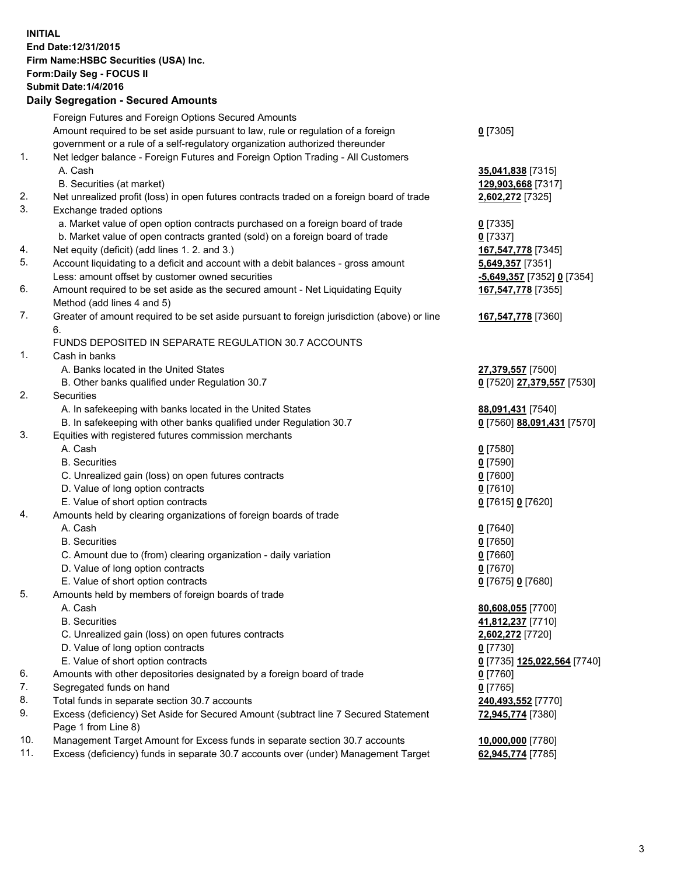**INITIAL End Date:12/31/2015 Firm Name:HSBC Securities (USA) Inc. Form:Daily Seg - FOCUS II Submit Date:1/4/2016 Daily Segregation - Secured Amounts** Foreign Futures and Foreign Options Secured Amounts Amount required to be set aside pursuant to law, rule or regulation of a foreign government or a rule of a self-regulatory organization authorized thereunder **0** [7305] 1. Net ledger balance - Foreign Futures and Foreign Option Trading - All Customers A. Cash **35,041,838** [7315] B. Securities (at market) **129,903,668** [7317] 2. Net unrealized profit (loss) in open futures contracts traded on a foreign board of trade **2,602,272** [7325] 3. Exchange traded options a. Market value of open option contracts purchased on a foreign board of trade **0** [7335] b. Market value of open contracts granted (sold) on a foreign board of trade **0** [7337] 4. Net equity (deficit) (add lines 1. 2. and 3.) **167,547,778** [7345] 5. Account liquidating to a deficit and account with a debit balances - gross amount **5,649,357** [7351] Less: amount offset by customer owned securities **-5,649,357** [7352] **0** [7354] 6. Amount required to be set aside as the secured amount - Net Liquidating Equity Method (add lines 4 and 5) **167,547,778** [7355] 7. Greater of amount required to be set aside pursuant to foreign jurisdiction (above) or line 6. **167,547,778** [7360] FUNDS DEPOSITED IN SEPARATE REGULATION 30.7 ACCOUNTS 1. Cash in banks A. Banks located in the United States **27,379,557** [7500] B. Other banks qualified under Regulation 30.7 **0** [7520] **27,379,557** [7530] 2. Securities A. In safekeeping with banks located in the United States **88,091,431** [7540] B. In safekeeping with other banks qualified under Regulation 30.7 **0** [7560] **88,091,431** [7570] 3. Equities with registered futures commission merchants A. Cash **0** [7580] B. Securities **0** [7590] C. Unrealized gain (loss) on open futures contracts **0** [7600] D. Value of long option contracts **0** [7610] E. Value of short option contracts **0** [7615] **0** [7620] 4. Amounts held by clearing organizations of foreign boards of trade A. Cash **0** [7640] B. Securities **0** [7650] C. Amount due to (from) clearing organization - daily variation **0** [7660] D. Value of long option contracts **0** [7670] E. Value of short option contracts **0** [7675] **0** [7680] 5. Amounts held by members of foreign boards of trade A. Cash **80,608,055** [7700] B. Securities **41,812,237** [7710] C. Unrealized gain (loss) on open futures contracts **2,602,272** [7720] D. Value of long option contracts **0** [7730] E. Value of short option contracts **0** [7735] **125,022,564** [7740] 6. Amounts with other depositories designated by a foreign board of trade **0** [7760] 7. Segregated funds on hand **0** [7765] 8. Total funds in separate section 30.7 accounts **240,493,552** [7770] 9. Excess (deficiency) Set Aside for Secured Amount (subtract line 7 Secured Statement Page 1 from Line 8) **72,945,774** [7380] 10. Management Target Amount for Excess funds in separate section 30.7 accounts **10,000,000** [7780] 11. Excess (deficiency) funds in separate 30.7 accounts over (under) Management Target **62,945,774** [7785]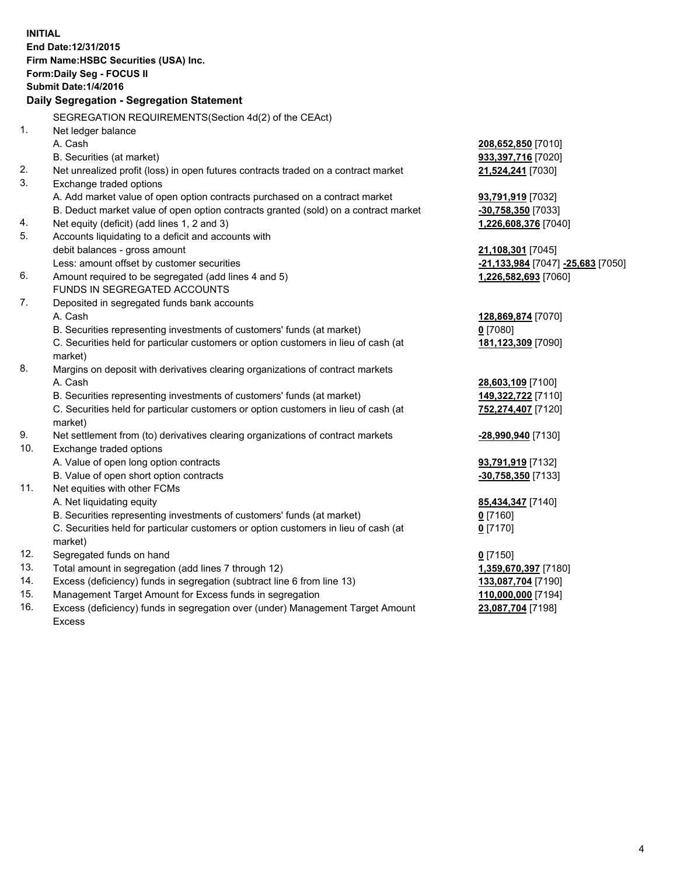| <b>INITIAL</b><br>End Date: 12/31/2015<br>Firm Name: HSBC Securities (USA) Inc.<br>Form: Daily Seg - FOCUS II<br><b>Submit Date: 1/4/2016</b><br>Daily Segregation - Segregation Statement |                                                                                                |                                   |  |  |
|--------------------------------------------------------------------------------------------------------------------------------------------------------------------------------------------|------------------------------------------------------------------------------------------------|-----------------------------------|--|--|
|                                                                                                                                                                                            | SEGREGATION REQUIREMENTS(Section 4d(2) of the CEAct)                                           |                                   |  |  |
| 1.                                                                                                                                                                                         | Net ledger balance                                                                             |                                   |  |  |
|                                                                                                                                                                                            | A. Cash                                                                                        | 208,652,850 [7010]                |  |  |
|                                                                                                                                                                                            | B. Securities (at market)                                                                      | 933,397,716 [7020]                |  |  |
| 2.                                                                                                                                                                                         | Net unrealized profit (loss) in open futures contracts traded on a contract market             | 21,524,241 [7030]                 |  |  |
| 3.                                                                                                                                                                                         | Exchange traded options                                                                        |                                   |  |  |
|                                                                                                                                                                                            | A. Add market value of open option contracts purchased on a contract market                    | 93,791,919 [7032]                 |  |  |
|                                                                                                                                                                                            | B. Deduct market value of open option contracts granted (sold) on a contract market            | -30,758,350 [7033]                |  |  |
| 4.                                                                                                                                                                                         | Net equity (deficit) (add lines 1, 2 and 3)                                                    | 1,226,608,376 [7040]              |  |  |
| 5.                                                                                                                                                                                         | Accounts liquidating to a deficit and accounts with                                            |                                   |  |  |
|                                                                                                                                                                                            | debit balances - gross amount                                                                  | 21,108,301 [7045]                 |  |  |
|                                                                                                                                                                                            | Less: amount offset by customer securities                                                     | -21,133,984 [7047] -25,683 [7050] |  |  |
| 6.                                                                                                                                                                                         | Amount required to be segregated (add lines 4 and 5)                                           | 1,226,582,693 [7060]              |  |  |
|                                                                                                                                                                                            | FUNDS IN SEGREGATED ACCOUNTS                                                                   |                                   |  |  |
| 7.                                                                                                                                                                                         | Deposited in segregated funds bank accounts                                                    |                                   |  |  |
|                                                                                                                                                                                            | A. Cash                                                                                        | 128,869,874 [7070]                |  |  |
|                                                                                                                                                                                            | B. Securities representing investments of customers' funds (at market)                         | $0$ [7080]                        |  |  |
|                                                                                                                                                                                            | C. Securities held for particular customers or option customers in lieu of cash (at<br>market) | 181,123,309 [7090]                |  |  |
| 8.                                                                                                                                                                                         | Margins on deposit with derivatives clearing organizations of contract markets                 |                                   |  |  |
|                                                                                                                                                                                            | A. Cash                                                                                        | 28,603,109 [7100]                 |  |  |
|                                                                                                                                                                                            | B. Securities representing investments of customers' funds (at market)                         | 149,322,722 [7110]                |  |  |
|                                                                                                                                                                                            | C. Securities held for particular customers or option customers in lieu of cash (at            | 752,274,407 [7120]                |  |  |
|                                                                                                                                                                                            | market)                                                                                        |                                   |  |  |
| 9.                                                                                                                                                                                         | Net settlement from (to) derivatives clearing organizations of contract markets                | -28,990,940 [7130]                |  |  |
| 10.                                                                                                                                                                                        | Exchange traded options                                                                        |                                   |  |  |
|                                                                                                                                                                                            | A. Value of open long option contracts                                                         | 93,791,919 [7132]                 |  |  |
|                                                                                                                                                                                            | B. Value of open short option contracts                                                        | -30,758,350 [7133]                |  |  |
| 11.                                                                                                                                                                                        | Net equities with other FCMs                                                                   |                                   |  |  |
|                                                                                                                                                                                            | A. Net liquidating equity                                                                      | 85,434,347 [7140]                 |  |  |
|                                                                                                                                                                                            | B. Securities representing investments of customers' funds (at market)                         | $\underline{0}$ [7160]            |  |  |
|                                                                                                                                                                                            | C. Securities held for particular customers or option customers in lieu of cash (at            | $0$ [7170]                        |  |  |
|                                                                                                                                                                                            | market)                                                                                        |                                   |  |  |
| 12.                                                                                                                                                                                        | Segregated funds on hand                                                                       | $0$ [7150]                        |  |  |
| 13.                                                                                                                                                                                        | Total amount in segregation (add lines 7 through 12)                                           | 1,359,670,397 [7180]              |  |  |
| 14.                                                                                                                                                                                        | Excess (deficiency) funds in segregation (subtract line 6 from line 13)                        | 133,087,704 [7190]                |  |  |
| 15.                                                                                                                                                                                        | Management Target Amount for Excess funds in segregation                                       | 110,000,000 [7194]                |  |  |
| 16.                                                                                                                                                                                        | Excess (deficiency) funds in segregation over (under) Management Target Amount                 | 23,087,704 [7198]                 |  |  |
|                                                                                                                                                                                            | <b>Excess</b>                                                                                  |                                   |  |  |